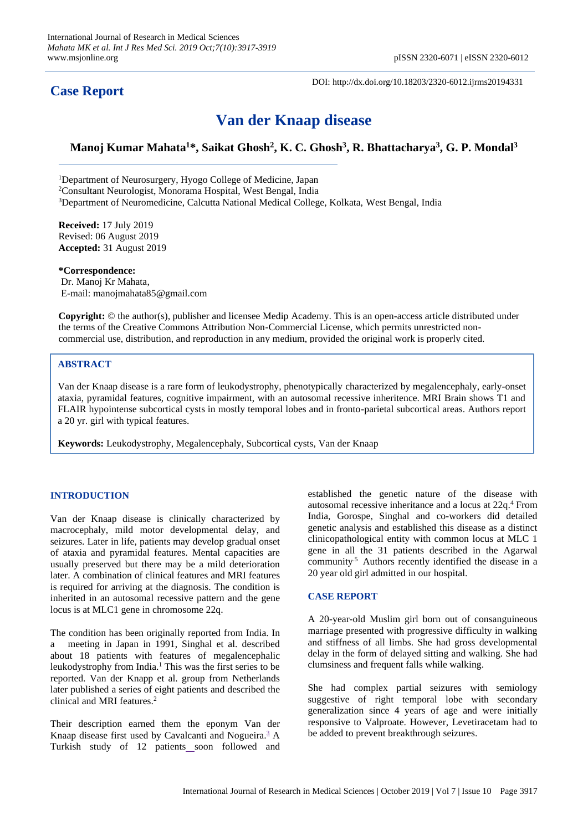## **Case Report**

DOI: http://dx.doi.org/10.18203/2320-6012.ijrms20194331

# **Van der Knaap disease**

Manoj Kumar Mahata<sup>1</sup>\*, Saikat Ghosh<sup>2</sup>, K. C. Ghosh<sup>3</sup>, R. Bhattacharya<sup>3</sup>, G. P. Mondal<sup>3</sup>

 <sup>3</sup>Department of Neuromedicine, Calcutta National Medical College, Kolkata, West Bengal, India <sup>1</sup>Department of Neurosurgery, Hyogo College of Medicine, Japan <sup>2</sup>Consultant Neurologist, Monorama Hospital, West Bengal, India

**Received:** 17 July 2019 Revised: 06 August 2019 **Accepted:** 31 August 2019

**\*Correspondence:** Dr. Manoj Kr Mahata, E-mail: manojmahata85@gmail.com

**Copyright:** © the author(s), publisher and licensee Medip Academy. This is an open-access article distributed under the terms of the Creative Commons Attribution Non-Commercial License, which permits unrestricted noncommercial use, distribution, and reproduction in any medium, provided the original work is properly cited.

### **ABSTRACT**

Van der Knaap disease is a rare form of leukodystrophy, phenotypically characterized by megalencephaly, early-onset ataxia, pyramidal features, cognitive impairment, with an autosomal recessive inheritence. MRI Brain shows T1 and FLAIR hypointense subcortical cysts in mostly temporal lobes and in fronto-parietal subcortical areas. Authors report a 20 yr. girl with typical features.

**Keywords:** Leukodystrophy, Megalencephaly, Subcortical cysts, Van der Knaap

#### **INTRODUCTION**

Van der Knaap disease is clinically characterized by macrocephaly, mild motor developmental delay, and seizures. Later in life, patients may develop gradual onset of ataxia and pyramidal features. Mental capacities are usually preserved but there may be a mild deterioration later. A combination of clinical features and MRI features is required for arriving at the diagnosis. The condition is inherited in an autosomal recessive pattern and the gene locus is at MLC1 gene in chromosome 22q.

The condition has been originally reported from India. In a meeting in Japan in 1991, Singhal et al. described about 18 patients with features of megalencephalic leukodystrophy from India.<sup>1</sup> This was the first series to be reported. Van der Knapp et al. group from Netherlands later published a series of eight patients and described the clinical and MRI features.<sup>2</sup>

Their description earned them the eponym Van der Knaap disease first used by Cavalcanti and Nogueira. $\frac{3}{2}$  $\frac{3}{2}$  $\frac{3}{2}$  A Turkish study of 12 patients soon followed and established the genetic nature of the disease with autosomal recessive inheritance and a locus at 22q. <sup>4</sup> From India, Gorospe, Singhal and co-workers did detailed genetic analysis and established this disease as a distinct clinicopathological entity with common locus at MLC 1 gene in all the 31 patients described in the Agarwal community.5 Authors recently identified the disease in a 20 year old girl admitted in our hospital.

#### **CASE REPORT**

A 20-year-old Muslim girl born out of consanguineous marriage presented with progressive difficulty in walking and stiffness of all limbs. She had gross developmental delay in the form of delayed sitting and walking. She had clumsiness and frequent falls while walking.

She had complex partial seizures with semiology suggestive of right temporal lobe with secondary generalization since 4 years of age and were initially responsive to Valproate. However, Levetiracetam had to be added to prevent breakthrough seizures.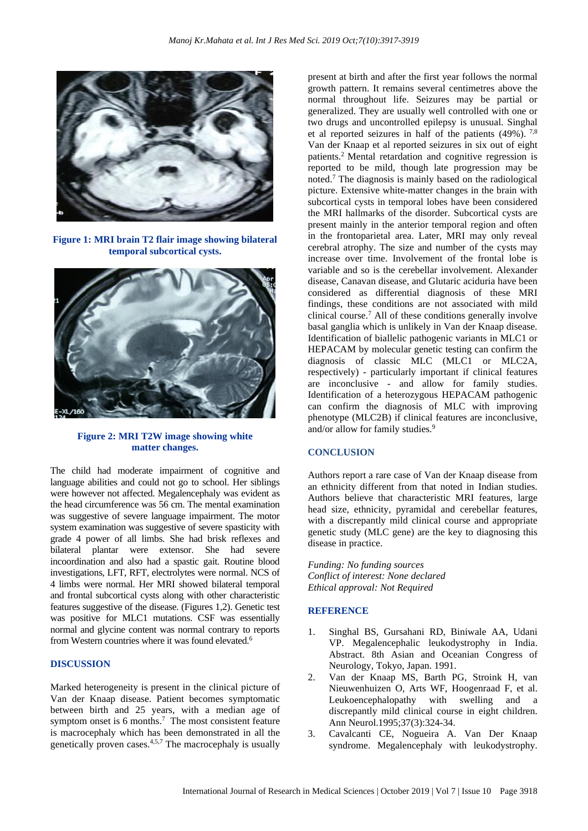

**Figure 1: MRI brain T2 flair image showing bilateral temporal subcortical cysts.**



#### **Figure 2: MRI T2W image showing white matter changes.**

The child had moderate impairment of cognitive and language abilities and could not go to school. Her siblings were however not affected. Megalencephaly was evident as the head circumference was 56 cm. The mental examination was suggestive of severe language impairment. The motor system examination was suggestive of severe spasticity with grade 4 power of all limbs. She had brisk reflexes and bilateral plantar were extensor. She had severe incoordination and also had a spastic gait. Routine blood investigations, LFT, RFT, electrolytes were normal. NCS of 4 limbs were normal. Her MRI showed bilateral temporal and frontal subcortical cysts along with other characteristic features suggestive of the disease. (Figures 1,2). Genetic test was positive for MLC1 mutations. CSF was essentially normal and glycine content was normal contrary to reports from Western countries where it was found elevated.<sup>6</sup>

#### **DISCUSSION**

Marked heterogeneity is present in the clinical picture of Van der Knaap disease. Patient becomes symptomatic between birth and 25 years, with a median age of symptom onset is 6 months.<sup>7</sup> The most consistent feature is macrocephaly which has been demonstrated in all the genetically proven cases. 4,5,7 The macrocephaly is usually

present at birth and after the first year follows the normal growth pattern. It remains several centimetres above the normal throughout life. Seizures may be partial or generalized. They are usually well controlled with one or two drugs and uncontrolled epilepsy is unusual. Singhal et al reported seizures in half of the patients (49%). 7,8 Van der Knaap et al reported seizures in six out of eight patients.<sup>2</sup> Mental retardation and cognitive regression is reported to be mild, though late progression may be noted. <sup>7</sup> The diagnosis is mainly based on the radiological picture. Extensive white-matter changes in the brain with subcortical cysts in temporal lobes have been considered the MRI hallmarks of the disorder. Subcortical cysts are present mainly in the anterior temporal region and often in the frontoparietal area. Later, MRI may only reveal cerebral atrophy. The size and number of the cysts may increase over time. Involvement of the frontal lobe is variable and so is the cerebellar involvement. Alexander disease, Canavan disease, and Glutaric aciduria have been considered as differential diagnosis of these MRI findings, these conditions are not associated with mild clinical course.<sup>7</sup> All of these conditions generally involve basal ganglia which is unlikely in Van der Knaap disease. Identification of biallelic pathogenic variants in MLC1 or HEPACAM by molecular genetic testing can confirm the diagnosis of classic MLC (MLC1 or MLC2A, respectively) - particularly important if clinical features are inconclusive - and allow for family studies. Identification of a heterozygous HEPACAM pathogenic can confirm the diagnosis of MLC with improving phenotype (MLC2B) if clinical features are inconclusive, and/or allow for family studies. 9

#### **CONCLUSION**

Authors report a rare case of Van der Knaap disease from an ethnicity different from that noted in Indian studies. Authors believe that characteristic MRI features, large head size, ethnicity, pyramidal and cerebellar features, with a discrepantly mild clinical course and appropriate genetic study (MLC gene) are the key to diagnosing this disease in practice.

*Funding: No funding sources Conflict of interest: None declared Ethical approval: Not Required*

#### **REFERENCE**

- 1. Singhal BS, Gursahani RD, Biniwale AA, Udani VP. Megalencephalic leukodystrophy in India. Abstract. 8th Asian and Oceanian Congress of Neurology, Tokyo, Japan. 1991.
- 2. Van der Knaap MS, Barth PG, Stroink H, van Nieuwenhuizen O, Arts WF, Hoogenraad F, et al. Leukoencephalopathy with swelling and a discrepantly mild clinical course in eight children. Ann Neurol.1995;37(3):324-34.
- 3. Cavalcanti CE, Nogueira A. Van Der Knaap syndrome. Megalencephaly with leukodystrophy.